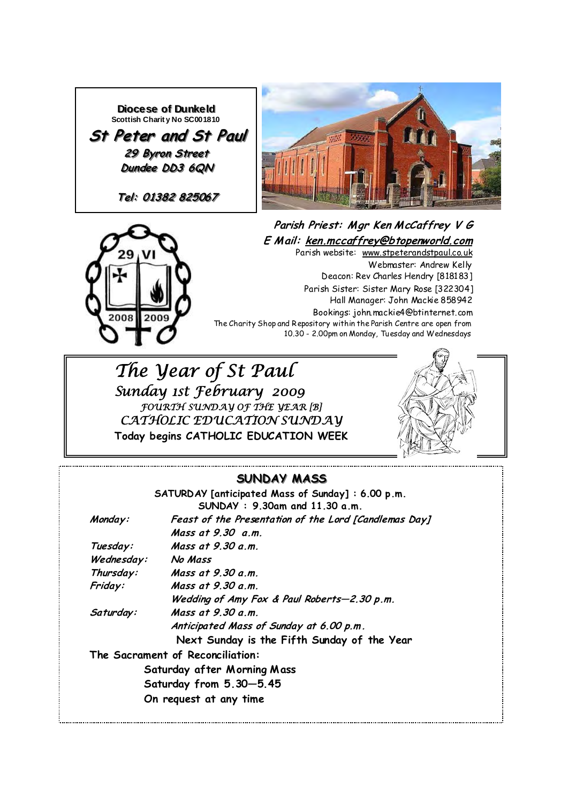





**Parish Priest: M gr Ken M cCaffrey V G E M ail: ken.mccaffrey@btopenworld.com** Parish website: www.stpeterandstpaul.co.uk Webmaster: Andrew Kelly Deacon: Rev Charles Hendry [818183] Parish Sister: Sister Mary Rose [322304] Hall Manager: John Mackie 858942 Bookings: john.mackie4@btinternet.com The Charity Shop and Repository within the Parish Centre are open from 10.30 - 2.00pm on Monday, Tuesday and Wednesdays

 *The Year of St Paul Sunday 1st February 2009 FOURTH SUNDAY OF THE YEAR [B] CATHOLIC EDUCATION SUNDAY*  **Today begins CATHOLIC EDUCATION WEEK** 



### **SUNDAY MASS SUNDAY MASS**

|            | SATURDAY [anticipated Mass of Sunday]: 6.00 p.m.      |
|------------|-------------------------------------------------------|
|            | $SUMDAY: 9.30am$ and 11.30 a.m.                       |
| Monday:    | Feast of the Presentation of the Lord [Candlemas Day] |
|            | Mass at 9.30 a.m.                                     |
| Tuesday:   | Mass at 9.30 a.m.                                     |
| Wednesday: | No Mass                                               |
| Thursday:  | Mass at 9.30 a.m.                                     |
| Friday:    | Mass at 9.30 a.m.                                     |
|            | Wedding of Amy Fox & Paul Roberts-2.30 p.m.           |
| Saturday:  | Mass at $9.30 a.m.$                                   |
|            | Anticipated Mass of Sunday at 6.00 p.m.               |
|            | Next Sunday is the Fifth Sunday of the Year           |
|            | The Sacrament of Reconciliation:                      |
|            | Saturday after Morning Mass                           |
|            | Saturday from 5.30-5.45                               |
|            | On request at any time                                |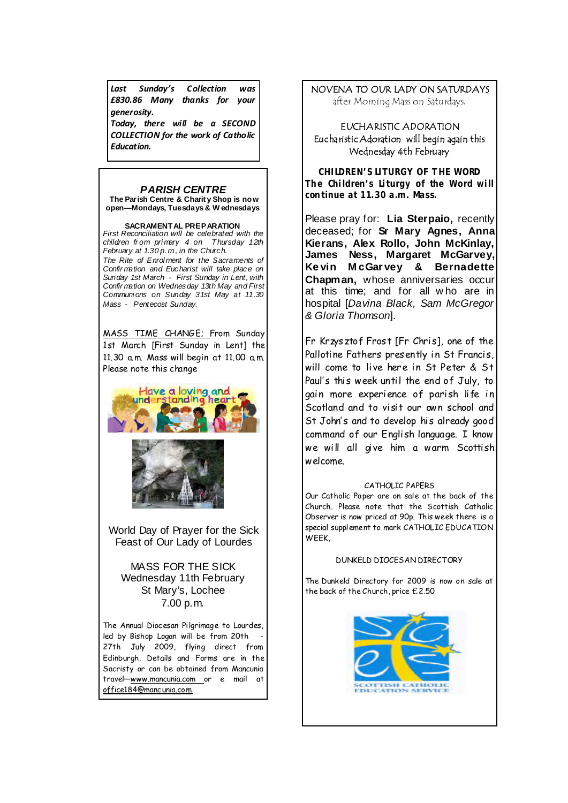*Last Sunday's Collection was £830.86 Many thanks for your generosity.*

*Today, there will be a SECOND COLLECTION for the work of Catholic Education.*

#### *PARISH CENTRE*

**The Parish Centre & Charit y Shop is no w open—Mondays, Tuesdays & W ednesdays** 

**SACRAMENTAL PREPARATION**  *First Reconciliation will be celebrated with the children fr om pri mary 4 on Thursday 12th February at 1.30 p.m., in the Church. The Rite of Enrol ment for the Sacraments of Confir mation and Eucharist will take place on Sunday 1st March - First Sunday in Lent, with Confir mation on Wednesday 13th May and First Communi ons on Sunday 31st May at 11.30 Mass - Pentecost Sunday.* 

MASS TIME CHANGE; From Sunday 1st March [First Sunday in Lent] the 11.30 a.m. Mass will begin at 11.00 a.m. Please note this change





World Day of Prayer for the Sick Feast of Our Lady of Lourdes

#### MASS FOR THE SICK Wednesday 11th February St Mary's, Lochee 7.00 p.m.

The Annual Diocesan Pilgrimage to Lourdes, led by Bishop Logan will be from 20th 27th July 2009, flying direct from Edinburgh. Details and Forms are in the Sacristy or can be obtained from Mancunia travel—www.mancunia.com or e mail at office184@mancunia.com

# NOVENA TO OUR LADY ON SATURDAYS

after Morning Mass on Saturdays.

#### EUCHARISTIC ADORATION Eucharistic Adoration will begin again this Wednesday 4th February

*CHILDREN'S LITURGY OF THE WORD The Children's Liturgy of the Word will continue at 11.30 a.m. Mass.* 

Please pray for: **Lia Sterpaio,** recently deceased; for **Sr Mary Agnes, Anna Kierans, Alex Rollo, John McKinlay, James Ness, Margaret McGarvey, Ke vin M cGar vey & Bernadette Chapman,** whose anniversaries occur at this time; and for all w ho are in hospital [*Davina Black, Sam McGregor & Gloria Thomson*].

Fr Krzysztof Frost [Fr Chris], one of the Pallotine Fathers presently in St Francis, will come to live here in St Peter & St Paul's this week until the end of July, to gain more experience of parish life in Scotland and to visit our own school and St John's and to develop his already good command of our English language. I know we will all give him a warm Scottish welcome.

#### CATHOLIC PAPERS

Our Catholic Paper are on sale at the back of the Church. Please note that the Scottish Catholic Observer is now priced at 90p. This week there is a special supplement to mark CATHOLIC EDUCATION WEEK,

#### DUNKELD DIOCESAN DIRECTORY

The Dunkeld Directory for 2009 is now on sale at the back of the Church, price £2.50

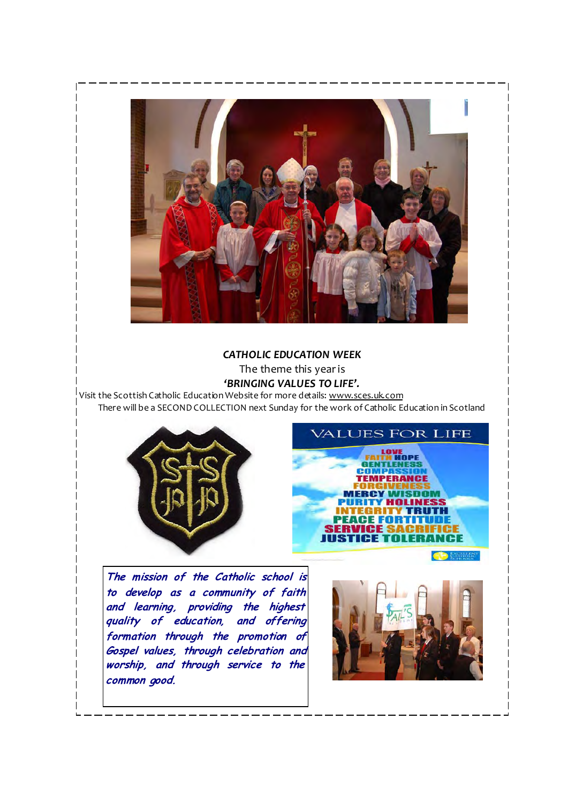

*CATHOLIC EDUCATION WEEK*

The theme this yearis

*'BRINGING VALUES TO LIFE'.*

Visit the Scottish Catholic Education Website for more details: www.sces.uk.com There will be a SECOND COLLECTION next Sunday for the work of Catholic Education in Scotland



**The mission of the Catholic school is to develop as a community of faith and learning, providing the highest quality of education, and offering formation through the promotion of Gospel values, through celebration and worship, and through service to the common good.** 



**EXCELLER** 

**ALUES FOR LIFE** 

**TEMPERANCI** 

**NGES** 

HOPE